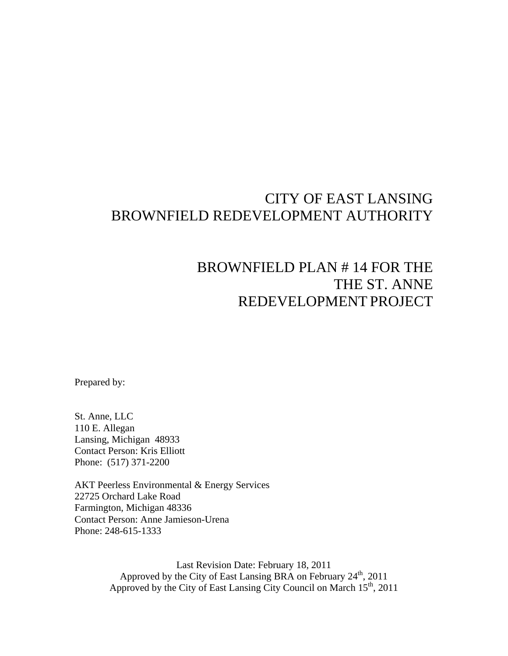## CITY OF EAST LANSING BROWNFIELD REDEVELOPMENT AUTHORITY

# BROWNFIELD PLAN # 14 FOR THE THE ST. ANNE REDEVELOPMENT PROJECT

Prepared by:

St. Anne, LLC 110 E. Allegan Lansing, Michigan 48933 Contact Person: Kris Elliott Phone: (517) 371-2200

AKT Peerless Environmental & Energy Services 22725 Orchard Lake Road Farmington, Michigan 48336 Contact Person: Anne Jamieson-Urena Phone: 248-615-1333

> Last Revision Date: February 18, 2011 Approved by the City of East Lansing BRA on February  $24^{th}$ , 2011 Approved by the City of East Lansing City Council on March  $15<sup>th</sup>$ , 2011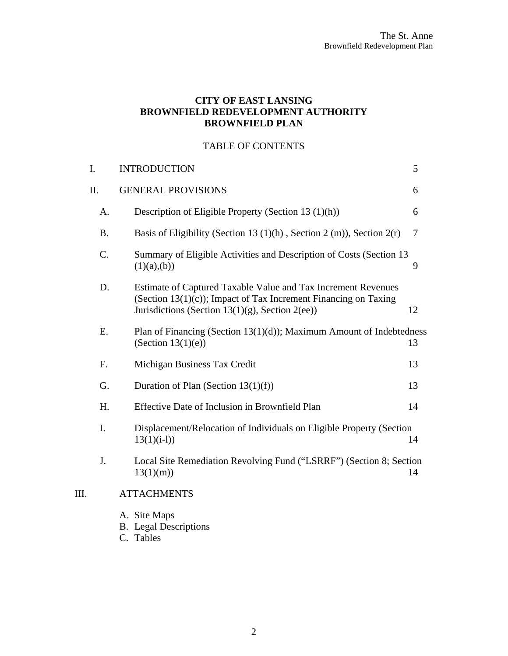#### **CITY OF EAST LANSING BROWNFIELD REDEVELOPMENT AUTHORITY BROWNFIELD PLAN**

#### TABLE OF CONTENTS

| I.        | <b>INTRODUCTION</b>                                                                                                                                                                    | 5  |
|-----------|----------------------------------------------------------------------------------------------------------------------------------------------------------------------------------------|----|
| II.       | <b>GENERAL PROVISIONS</b>                                                                                                                                                              | 6  |
| A.        | Description of Eligible Property (Section 13 (1)(h))                                                                                                                                   | 6  |
| <b>B.</b> | Basis of Eligibility (Section 13 $(1)(h)$ , Section 2 $(m)$ ), Section 2 $(r)$                                                                                                         | 7  |
| C.        | Summary of Eligible Activities and Description of Costs (Section 13<br>(1)(a),(b))                                                                                                     | 9  |
| D.        | Estimate of Captured Taxable Value and Tax Increment Revenues<br>(Section $13(1)(c)$ ); Impact of Tax Increment Financing on Taxing<br>Jurisdictions (Section 13(1)(g), Section 2(ee)) | 12 |
| E.        | Plan of Financing (Section $13(1)(d)$ ); Maximum Amount of Indebtedness<br>(Section $13(1)(e)$ )                                                                                       | 13 |
| F.        | Michigan Business Tax Credit                                                                                                                                                           | 13 |
| G.        | Duration of Plan (Section $13(1)(f)$ )                                                                                                                                                 | 13 |
| H.        | Effective Date of Inclusion in Brownfield Plan                                                                                                                                         | 14 |
| I.        | Displacement/Relocation of Individuals on Eligible Property (Section<br>$13(1)(i-1)$                                                                                                   | 14 |
| J.        | Local Site Remediation Revolving Fund ("LSRRF") (Section 8; Section<br>13(1)(m)                                                                                                        | 14 |
|           | <b>ATTACHMENTS</b>                                                                                                                                                                     |    |
|           | A. Site Maps<br><b>B.</b> Legal Descriptions                                                                                                                                           |    |

C. Tables

III.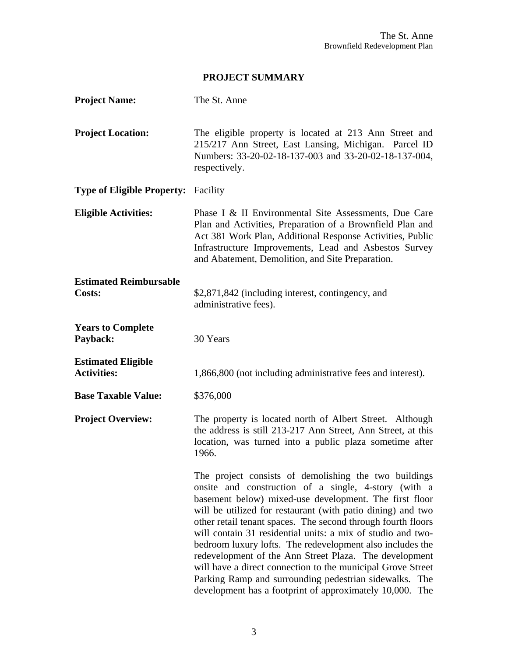#### **PROJECT SUMMARY**

| <b>Project Name:</b>                            | The St. Anne                                                                                                                                                                                                                                                                                                                                                                                                                                                                                                                                                                                                                                                                      |
|-------------------------------------------------|-----------------------------------------------------------------------------------------------------------------------------------------------------------------------------------------------------------------------------------------------------------------------------------------------------------------------------------------------------------------------------------------------------------------------------------------------------------------------------------------------------------------------------------------------------------------------------------------------------------------------------------------------------------------------------------|
| <b>Project Location:</b>                        | The eligible property is located at 213 Ann Street and<br>215/217 Ann Street, East Lansing, Michigan. Parcel ID<br>Numbers: 33-20-02-18-137-003 and 33-20-02-18-137-004,<br>respectively.                                                                                                                                                                                                                                                                                                                                                                                                                                                                                         |
| <b>Type of Eligible Property:</b> Facility      |                                                                                                                                                                                                                                                                                                                                                                                                                                                                                                                                                                                                                                                                                   |
| <b>Eligible Activities:</b>                     | Phase I & II Environmental Site Assessments, Due Care<br>Plan and Activities, Preparation of a Brownfield Plan and<br>Act 381 Work Plan, Additional Response Activities, Public<br>Infrastructure Improvements, Lead and Asbestos Survey<br>and Abatement, Demolition, and Site Preparation.                                                                                                                                                                                                                                                                                                                                                                                      |
| <b>Estimated Reimbursable</b><br>Costs:         | \$2,871,842 (including interest, contingency, and<br>administrative fees).                                                                                                                                                                                                                                                                                                                                                                                                                                                                                                                                                                                                        |
| <b>Years to Complete</b><br>Payback:            | 30 Years                                                                                                                                                                                                                                                                                                                                                                                                                                                                                                                                                                                                                                                                          |
| <b>Estimated Eligible</b><br><b>Activities:</b> | 1,866,800 (not including administrative fees and interest).                                                                                                                                                                                                                                                                                                                                                                                                                                                                                                                                                                                                                       |
| <b>Base Taxable Value:</b>                      | \$376,000                                                                                                                                                                                                                                                                                                                                                                                                                                                                                                                                                                                                                                                                         |
| <b>Project Overview:</b>                        | The property is located north of Albert Street. Although<br>the address is still 213-217 Ann Street, Ann Street, at this<br>location, was turned into a public plaza sometime after<br>1966.                                                                                                                                                                                                                                                                                                                                                                                                                                                                                      |
|                                                 | The project consists of demolishing the two buildings<br>onsite and construction of a single, 4-story (with a<br>basement below) mixed-use development. The first floor<br>will be utilized for restaurant (with patio dining) and two<br>other retail tenant spaces. The second through fourth floors<br>will contain 31 residential units: a mix of studio and two-<br>bedroom luxury lofts. The redevelopment also includes the<br>redevelopment of the Ann Street Plaza. The development<br>will have a direct connection to the municipal Grove Street<br>Parking Ramp and surrounding pedestrian sidewalks. The<br>development has a footprint of approximately 10,000. The |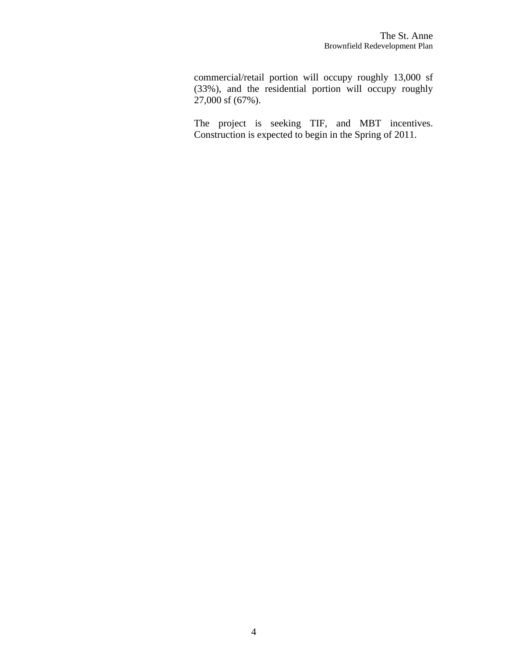commercial/retail portion will occupy roughly 13,000 sf (33%), and the residential portion will occupy roughly 27,000 sf (67%).

The project is seeking TIF, and MBT incentives. Construction is expected to begin in the Spring of 2011.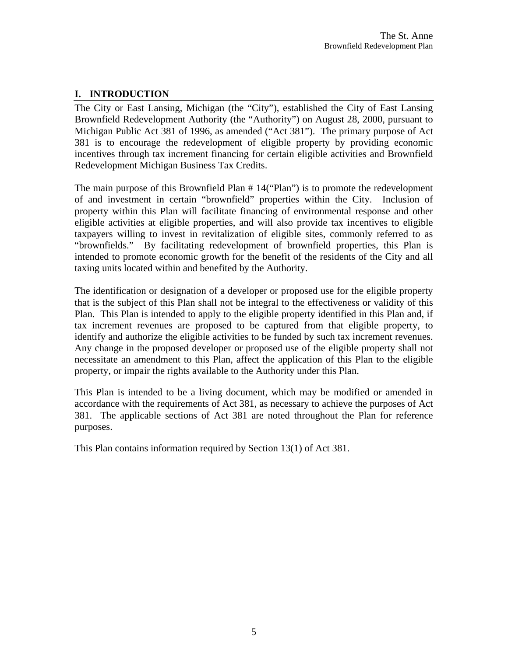#### <span id="page-4-0"></span>**I. INTRODUCTION**

The City or East Lansing, Michigan (the "City"), established the City of East Lansing Brownfield Redevelopment Authority (the "Authority") on August 28, 2000, pursuant to Michigan Public Act 381 of 1996, as amended ("Act 381"). The primary purpose of Act 381 is to encourage the redevelopment of eligible property by providing economic incentives through tax increment financing for certain eligible activities and Brownfield Redevelopment Michigan Business Tax Credits.

The main purpose of this Brownfield Plan # 14("Plan") is to promote the redevelopment of and investment in certain "brownfield" properties within the City. Inclusion of property within this Plan will facilitate financing of environmental response and other eligible activities at eligible properties, and will also provide tax incentives to eligible taxpayers willing to invest in revitalization of eligible sites, commonly referred to as "brownfields." By facilitating redevelopment of brownfield properties, this Plan is intended to promote economic growth for the benefit of the residents of the City and all taxing units located within and benefited by the Authority.

The identification or designation of a developer or proposed use for the eligible property that is the subject of this Plan shall not be integral to the effectiveness or validity of this Plan. This Plan is intended to apply to the eligible property identified in this Plan and, if tax increment revenues are proposed to be captured from that eligible property, to identify and authorize the eligible activities to be funded by such tax increment revenues. Any change in the proposed developer or proposed use of the eligible property shall not necessitate an amendment to this Plan, affect the application of this Plan to the eligible property, or impair the rights available to the Authority under this Plan.

This Plan is intended to be a living document, which may be modified or amended in accordance with the requirements of Act 381, as necessary to achieve the purposes of Act 381. The applicable sections of Act 381 are noted throughout the Plan for reference purposes.

This Plan contains information required by Section 13(1) of Act 381.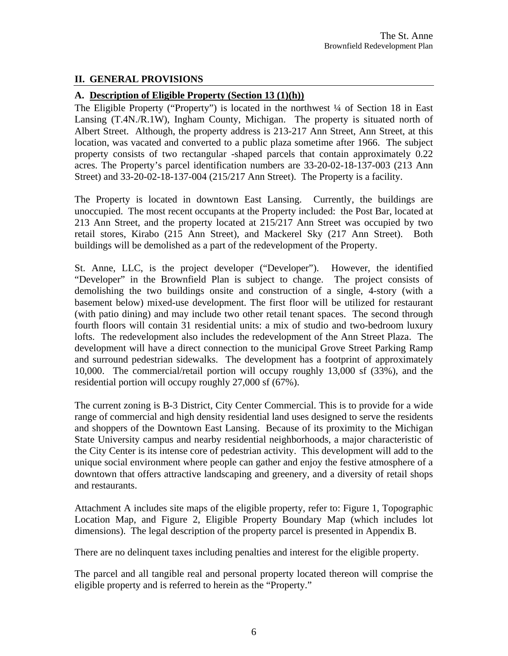#### <span id="page-5-0"></span>**II. GENERAL PROVISIONS**

#### **A. Description of Eligible Property (Section 13 (1)(h))**

The Eligible Property ("Property") is located in the northwest <sup>1</sup>/4 of Section 18 in East Lansing (T.4N./R.1W), Ingham County, Michigan. The property is situated north of Albert Street. Although, the property address is 213-217 Ann Street, Ann Street, at this location, was vacated and converted to a public plaza sometime after 1966. The subject property consists of two rectangular -shaped parcels that contain approximately 0.22 acres. The Property's parcel identification numbers are 33-20-02-18-137-003 (213 Ann Street) and 33-20-02-18-137-004 (215/217 Ann Street). The Property is a facility.

The Property is located in downtown East Lansing. Currently, the buildings are unoccupied. The most recent occupants at the Property included: the Post Bar, located at 213 Ann Street, and the property located at 215/217 Ann Street was occupied by two retail stores, Kirabo (215 Ann Street), and Mackerel Sky (217 Ann Street). Both buildings will be demolished as a part of the redevelopment of the Property.

St. Anne, LLC, is the project developer ("Developer"). However, the identified "Developer" in the Brownfield Plan is subject to change. The project consists of demolishing the two buildings onsite and construction of a single, 4-story (with a basement below) mixed-use development. The first floor will be utilized for restaurant (with patio dining) and may include two other retail tenant spaces. The second through fourth floors will contain 31 residential units: a mix of studio and two-bedroom luxury lofts. The redevelopment also includes the redevelopment of the Ann Street Plaza. The development will have a direct connection to the municipal Grove Street Parking Ramp and surround pedestrian sidewalks. The development has a footprint of approximately 10,000. The commercial/retail portion will occupy roughly 13,000 sf (33%), and the residential portion will occupy roughly 27,000 sf (67%).

The current zoning is B-3 District, City Center Commercial. This is to provide for a wide range of commercial and high density residential land uses designed to serve the residents and shoppers of the Downtown East Lansing. Because of its proximity to the Michigan State University campus and nearby residential neighborhoods, a major characteristic of the City Center is its intense core of pedestrian activity. This development will add to the unique social environment where people can gather and enjoy the festive atmosphere of a downtown that offers attractive landscaping and greenery, and a diversity of retail shops and restaurants.

Attachment A includes site maps of the eligible property, refer to: Figure 1, Topographic Location Map, and Figure 2, Eligible Property Boundary Map (which includes lot dimensions). The legal description of the property parcel is presented in Appendix B.

There are no delinquent taxes including penalties and interest for the eligible property.

The parcel and all tangible real and personal property located thereon will comprise the eligible property and is referred to herein as the "Property."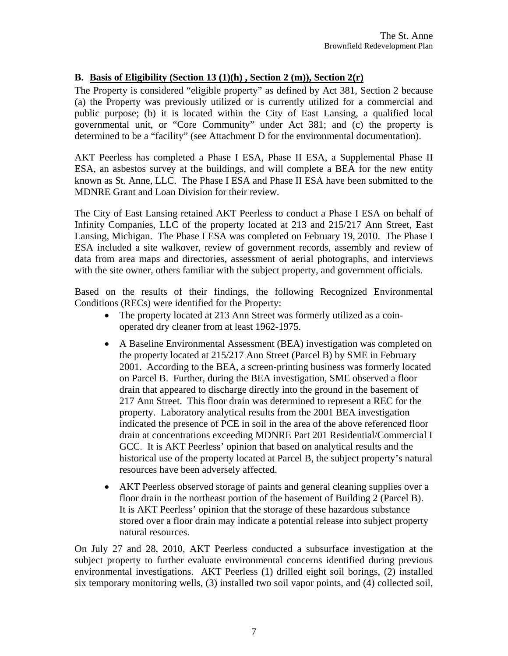#### <span id="page-6-0"></span>**B. Basis of Eligibility (Section 13 (1)(h) , Section 2 (m)), Section 2(r)**

The Property is considered "eligible property" as defined by Act 381, Section 2 because (a) the Property was previously utilized or is currently utilized for a commercial and public purpose; (b) it is located within the City of East Lansing, a qualified local governmental unit, or "Core Community" under Act 381; and (c) the property is determined to be a "facility" (see Attachment D for the environmental documentation).

AKT Peerless has completed a Phase I ESA, Phase II ESA, a Supplemental Phase II ESA, an asbestos survey at the buildings, and will complete a BEA for the new entity known as St. Anne, LLC. The Phase I ESA and Phase II ESA have been submitted to the MDNRE Grant and Loan Division for their review.

The City of East Lansing retained AKT Peerless to conduct a Phase I ESA on behalf of Infinity Companies, LLC of the property located at 213 and 215/217 Ann Street, East Lansing, Michigan. The Phase I ESA was completed on February 19, 2010. The Phase I ESA included a site walkover, review of government records, assembly and review of data from area maps and directories, assessment of aerial photographs, and interviews with the site owner, others familiar with the subject property, and government officials.

Based on the results of their findings, the following Recognized Environmental Conditions (RECs) were identified for the Property:

- The property located at 213 Ann Street was formerly utilized as a coinoperated dry cleaner from at least 1962-1975.
- A Baseline Environmental Assessment (BEA) investigation was completed on the property located at 215/217 Ann Street (Parcel B) by SME in February 2001. According to the BEA, a screen-printing business was formerly located on Parcel B. Further, during the BEA investigation, SME observed a floor drain that appeared to discharge directly into the ground in the basement of 217 Ann Street. This floor drain was determined to represent a REC for the property. Laboratory analytical results from the 2001 BEA investigation indicated the presence of PCE in soil in the area of the above referenced floor drain at concentrations exceeding MDNRE Part 201 Residential/Commercial I GCC. It is AKT Peerless' opinion that based on analytical results and the historical use of the property located at Parcel B, the subject property's natural resources have been adversely affected.
- AKT Peerless observed storage of paints and general cleaning supplies over a floor drain in the northeast portion of the basement of Building 2 (Parcel B). It is AKT Peerless' opinion that the storage of these hazardous substance stored over a floor drain may indicate a potential release into subject property natural resources.

On July 27 and 28, 2010, AKT Peerless conducted a subsurface investigation at the subject property to further evaluate environmental concerns identified during previous environmental investigations. AKT Peerless (1) drilled eight soil borings, (2) installed six temporary monitoring wells, (3) installed two soil vapor points, and (4) collected soil,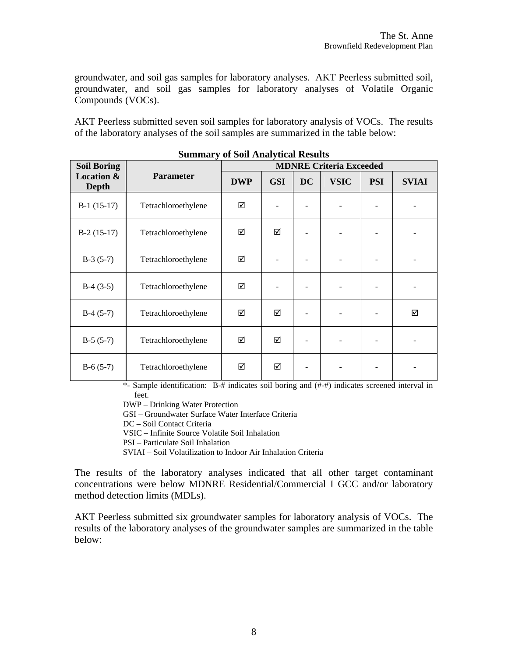groundwater, and soil gas samples for laboratory analyses. AKT Peerless submitted soil, groundwater, and soil gas samples for laboratory analyses of Volatile Organic Compounds (VOCs).

AKT Peerless submitted seven soil samples for laboratory analysis of VOCs. The results of the laboratory analyses of the soil samples are summarized in the table below:

| <b>Soil Boring</b>             | Dunmary of Don Anarytical Results | <b>MDNRE Criteria Exceeded</b> |            |           |             |            |              |  |  |  |  |  |  |
|--------------------------------|-----------------------------------|--------------------------------|------------|-----------|-------------|------------|--------------|--|--|--|--|--|--|
| <b>Location &amp;</b><br>Depth | <b>Parameter</b>                  | <b>DWP</b>                     | <b>GSI</b> | <b>DC</b> | <b>VSIC</b> | <b>PSI</b> | <b>SVIAI</b> |  |  |  |  |  |  |
| $B-1(15-17)$                   | Tetrachloroethylene               | ☑                              |            |           |             |            |              |  |  |  |  |  |  |
| $B-2(15-17)$                   | Tetrachloroethylene               | ☑                              | ☑          |           |             |            |              |  |  |  |  |  |  |
| $B-3(5-7)$                     | Tetrachloroethylene               | ☑                              |            |           |             |            |              |  |  |  |  |  |  |
| $B-4(3-5)$                     | Tetrachloroethylene               | ☑                              |            |           |             |            |              |  |  |  |  |  |  |
| $B-4(5-7)$                     | Tetrachloroethylene               | ☑                              | ☑          |           |             |            | ☑            |  |  |  |  |  |  |
| $B-5(5-7)$                     | Tetrachloroethylene               | ☑                              | ☑          |           |             |            |              |  |  |  |  |  |  |
| $B-6(5-7)$                     | Tetrachloroethylene               | ☑                              | ☑          |           |             |            |              |  |  |  |  |  |  |

| <b>Summary of Soil Analytical Results</b> |  |  |  |  |
|-------------------------------------------|--|--|--|--|
|-------------------------------------------|--|--|--|--|

\*- Sample identification: B-# indicates soil boring and (#-#) indicates screened interval in feet.

DWP – Drinking Water Protection

GSI – Groundwater Surface Water Interface Criteria

DC – Soil Contact Criteria

VSIC – Infinite Source Volatile Soil Inhalation

PSI – Particulate Soil Inhalation

SVIAI – Soil Volatilization to Indoor Air Inhalation Criteria

The results of the laboratory analyses indicated that all other target contaminant concentrations were below MDNRE Residential/Commercial I GCC and/or laboratory method detection limits (MDLs).

AKT Peerless submitted six groundwater samples for laboratory analysis of VOCs. The results of the laboratory analyses of the groundwater samples are summarized in the table below: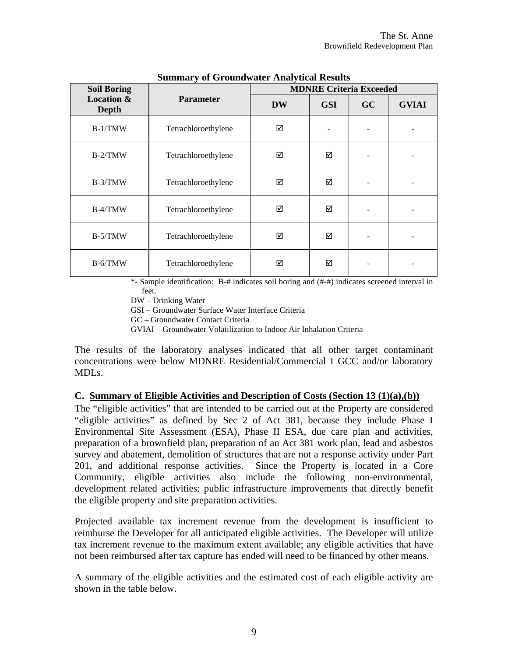<span id="page-8-0"></span>

| <b>Soil Boring</b>                    |                     |           | <b>MDNRE Criteria Exceeded</b> |           |              |
|---------------------------------------|---------------------|-----------|--------------------------------|-----------|--------------|
| <b>Location &amp;</b><br><b>Depth</b> | <b>Parameter</b>    | <b>DW</b> | <b>GSI</b>                     | <b>GC</b> | <b>GVIAI</b> |
| $B-1/TMW$                             | Tetrachloroethylene | ☑         |                                |           |              |
| B-2/TMW                               | Tetrachloroethylene | ☑         | ☑                              |           |              |
| B-3/TMW                               | Tetrachloroethylene | ☑         | ☑                              |           |              |
| $B-4/TMW$                             | Tetrachloroethylene | ☑         | ☑                              |           |              |
| B-5/TMW                               | Tetrachloroethylene | ☑         | ☑                              |           |              |
| $B-6/TMW$                             | Tetrachloroethylene | ☑         | ☑                              |           |              |

#### **Summary of Groundwater Analytical Results**

\*- Sample identification: B-# indicates soil boring and (#-#) indicates screened interval in feet.

DW – Drinking Water

GSI – Groundwater Surface Water Interface Criteria

GC – Groundwater Contact Criteria

GVIAI – Groundwater Volatilization to Indoor Air Inhalation Criteria

The results of the laboratory analyses indicated that all other target contaminant concentrations were below MDNRE Residential/Commercial I GCC and/or laboratory MDLs.

#### **C. Summary of Eligible Activities and Description of Costs (Section 13 (1)(a),(b))**

The "eligible activities" that are intended to be carried out at the Property are considered "eligible activities" as defined by Sec 2 of Act 381, because they include Phase I Environmental Site Assessment (ESA), Phase II ESA, due care plan and activities, preparation of a brownfield plan, preparation of an Act 381 work plan, lead and asbestos survey and abatement, demolition of structures that are not a response activity under Part 201, and additional response activities. Since the Property is located in a Core Community, eligible activities also include the following non-environmental, development related activities: public infrastructure improvements that directly benefit the eligible property and site preparation activities.

Projected available tax increment revenue from the development is insufficient to reimburse the Developer for all anticipated eligible activities. The Developer will utilize tax increment revenue to the maximum extent available; any eligible activities that have not been reimbursed after tax capture has ended will need to be financed by other means.

A summary of the eligible activities and the estimated cost of each eligible activity are shown in the table below.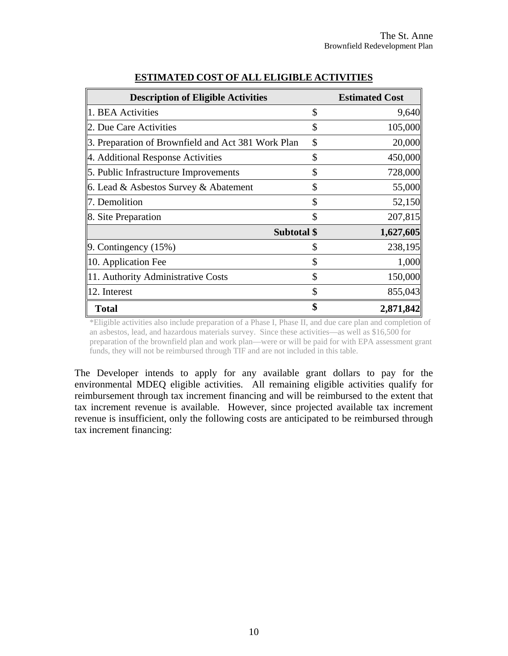| <b>Description of Eligible Activities</b>          |             | <b>Estimated Cost</b> |
|----------------------------------------------------|-------------|-----------------------|
| 1. BEA Activities                                  | \$          | 9,640                 |
| 2. Due Care Activities                             | \$          | 105,000               |
| 3. Preparation of Brownfield and Act 381 Work Plan | \$          | 20,000                |
| 4. Additional Response Activities                  | \$          | 450,000               |
| 5. Public Infrastructure Improvements              | \$          | 728,000               |
| 6. Lead & Asbestos Survey & Abatement              | \$          | 55,000                |
| 7. Demolition                                      | \$          | 52,150                |
| 8. Site Preparation                                | \$          | 207,815               |
|                                                    | Subtotal \$ | 1,627,605             |
| $\vert$ 9. Contingency (15%)                       | \$          | 238,195               |
| $\vert$ 10. Application Fee                        | \$          | 1,000                 |
| 11. Authority Administrative Costs                 | \$          | 150,000               |
| $\parallel$ 12. Interest                           | \$          | 855,043               |
| <b>Total</b>                                       | \$          | 2,871,842             |

#### **ESTIMATED COST OF ALL ELIGIBLE ACTIVITIES**

\*Eligible activities also include preparation of a Phase I, Phase II, and due care plan and completion of an asbestos, lead, and hazardous materials survey. Since these activities—as well as \$16,500 for preparation of the brownfield plan and work plan—were or will be paid for with EPA assessment grant funds, they will not be reimbursed through TIF and are not included in this table.

The Developer intends to apply for any available grant dollars to pay for the environmental MDEQ eligible activities. All remaining eligible activities qualify for reimbursement through tax increment financing and will be reimbursed to the extent that tax increment revenue is available. However, since projected available tax increment revenue is insufficient, only the following costs are anticipated to be reimbursed through tax increment financing: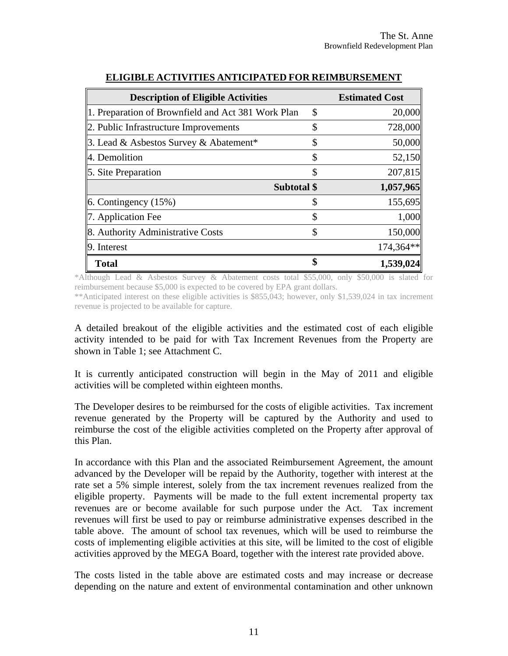| <b>Description of Eligible Activities</b>          |             | <b>Estimated Cost</b> |
|----------------------------------------------------|-------------|-----------------------|
| 1. Preparation of Brownfield and Act 381 Work Plan | \$          | 20,000                |
| $\ 2$ . Public Infrastructure Improvements         | S           | 728,000               |
| 3. Lead & Asbestos Survey & Abatement <sup>*</sup> |             | 50,000                |
| $\parallel$ 4. Demolition                          | S           | 52,150                |
| $\ $ 5. Site Preparation                           |             | 207,815               |
|                                                    | Subtotal \$ | 1,057,965             |
| $\vert$ 6. Contingency (15%)                       |             | 155,695               |
| $\ $ 7. Application Fee                            |             | 1,000                 |
| 8. Authority Administrative Costs                  |             | 150,000               |
| $\vert$ 9. Interest                                |             | $174,364**$           |
| <b>Total</b>                                       |             | 1,539,024             |

#### **ELIGIBLE ACTIVITIES ANTICIPATED FOR REIMBURSEMENT**

\*Although Lead & Asbestos Survey & Abatement costs total \$55,000, only \$50,000 is slated for reimbursement because \$5,000 is expected to be covered by EPA grant dollars.

\*\*Anticipated interest on these eligible activities is \$855,043; however, only \$1,539,024 in tax increment revenue is projected to be available for capture.

A detailed breakout of the eligible activities and the estimated cost of each eligible activity intended to be paid for with Tax Increment Revenues from the Property are shown in Table 1; see Attachment C.

It is currently anticipated construction will begin in the May of 2011 and eligible activities will be completed within eighteen months.

The Developer desires to be reimbursed for the costs of eligible activities. Tax increment revenue generated by the Property will be captured by the Authority and used to reimburse the cost of the eligible activities completed on the Property after approval of this Plan.

In accordance with this Plan and the associated Reimbursement Agreement, the amount advanced by the Developer will be repaid by the Authority, together with interest at the rate set a 5% simple interest, solely from the tax increment revenues realized from the eligible property. Payments will be made to the full extent incremental property tax revenues are or become available for such purpose under the Act. Tax increment revenues will first be used to pay or reimburse administrative expenses described in the table above. The amount of school tax revenues, which will be used to reimburse the costs of implementing eligible activities at this site, will be limited to the cost of eligible activities approved by the MEGA Board, together with the interest rate provided above.

The costs listed in the table above are estimated costs and may increase or decrease depending on the nature and extent of environmental contamination and other unknown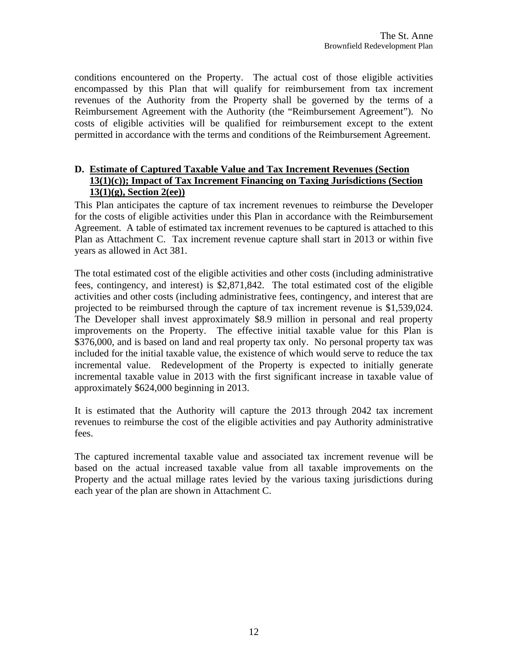<span id="page-11-0"></span>conditions encountered on the Property. The actual cost of those eligible activities encompassed by this Plan that will qualify for reimbursement from tax increment revenues of the Authority from the Property shall be governed by the terms of a Reimbursement Agreement with the Authority (the "Reimbursement Agreement"). No costs of eligible activities will be qualified for reimbursement except to the extent permitted in accordance with the terms and conditions of the Reimbursement Agreement.

#### **D. Estimate of Captured Taxable Value and Tax Increment Revenues (Section 13(1)(c)); Impact of Tax Increment Financing on Taxing Jurisdictions (Section 13(1)(g), Section 2(ee))**

This Plan anticipates the capture of tax increment revenues to reimburse the Developer for the costs of eligible activities under this Plan in accordance with the Reimbursement Agreement. A table of estimated tax increment revenues to be captured is attached to this Plan as Attachment C. Tax increment revenue capture shall start in 2013 or within five years as allowed in Act 381.

The total estimated cost of the eligible activities and other costs (including administrative fees, contingency, and interest) is \$2,871,842. The total estimated cost of the eligible activities and other costs (including administrative fees, contingency, and interest that are projected to be reimbursed through the capture of tax increment revenue is \$1,539,024. The Developer shall invest approximately \$8.9 million in personal and real property improvements on the Property. The effective initial taxable value for this Plan is \$376,000, and is based on land and real property tax only. No personal property tax was included for the initial taxable value, the existence of which would serve to reduce the tax incremental value. Redevelopment of the Property is expected to initially generate incremental taxable value in 2013 with the first significant increase in taxable value of approximately \$624,000 beginning in 2013.

It is estimated that the Authority will capture the 2013 through 2042 tax increment revenues to reimburse the cost of the eligible activities and pay Authority administrative fees.

The captured incremental taxable value and associated tax increment revenue will be based on the actual increased taxable value from all taxable improvements on the Property and the actual millage rates levied by the various taxing jurisdictions during each year of the plan are shown in Attachment C.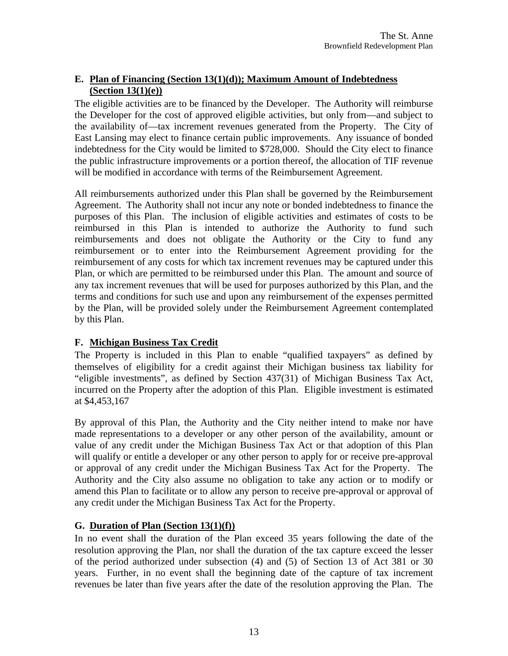#### <span id="page-12-0"></span>**E. Plan of Financing (Section 13(1)(d)); Maximum Amount of Indebtedness (Section 13(1)(e))**

The eligible activities are to be financed by the Developer. The Authority will reimburse the Developer for the cost of approved eligible activities, but only from—and subject to the availability of—tax increment revenues generated from the Property. The City of East Lansing may elect to finance certain public improvements. Any issuance of bonded indebtedness for the City would be limited to \$728,000. Should the City elect to finance the public infrastructure improvements or a portion thereof, the allocation of TIF revenue will be modified in accordance with terms of the Reimbursement Agreement.

All reimbursements authorized under this Plan shall be governed by the Reimbursement Agreement. The Authority shall not incur any note or bonded indebtedness to finance the purposes of this Plan. The inclusion of eligible activities and estimates of costs to be reimbursed in this Plan is intended to authorize the Authority to fund such reimbursements and does not obligate the Authority or the City to fund any reimbursement or to enter into the Reimbursement Agreement providing for the reimbursement of any costs for which tax increment revenues may be captured under this Plan, or which are permitted to be reimbursed under this Plan. The amount and source of any tax increment revenues that will be used for purposes authorized by this Plan, and the terms and conditions for such use and upon any reimbursement of the expenses permitted by the Plan, will be provided solely under the Reimbursement Agreement contemplated by this Plan.

#### **F. Michigan Business Tax Credit**

The Property is included in this Plan to enable "qualified taxpayers" as defined by themselves of eligibility for a credit against their Michigan business tax liability for "eligible investments", as defined by Section 437(31) of Michigan Business Tax Act, incurred on the Property after the adoption of this Plan. Eligible investment is estimated at \$4,453,167

By approval of this Plan, the Authority and the City neither intend to make nor have made representations to a developer or any other person of the availability, amount or value of any credit under the Michigan Business Tax Act or that adoption of this Plan will qualify or entitle a developer or any other person to apply for or receive pre-approval or approval of any credit under the Michigan Business Tax Act for the Property. The Authority and the City also assume no obligation to take any action or to modify or amend this Plan to facilitate or to allow any person to receive pre-approval or approval of any credit under the Michigan Business Tax Act for the Property.

#### **G. Duration of Plan (Section 13(1)(f))**

In no event shall the duration of the Plan exceed 35 years following the date of the resolution approving the Plan, nor shall the duration of the tax capture exceed the lesser of the period authorized under subsection (4) and (5) of Section 13 of Act 381 or 30 years. Further, in no event shall the beginning date of the capture of tax increment revenues be later than five years after the date of the resolution approving the Plan. The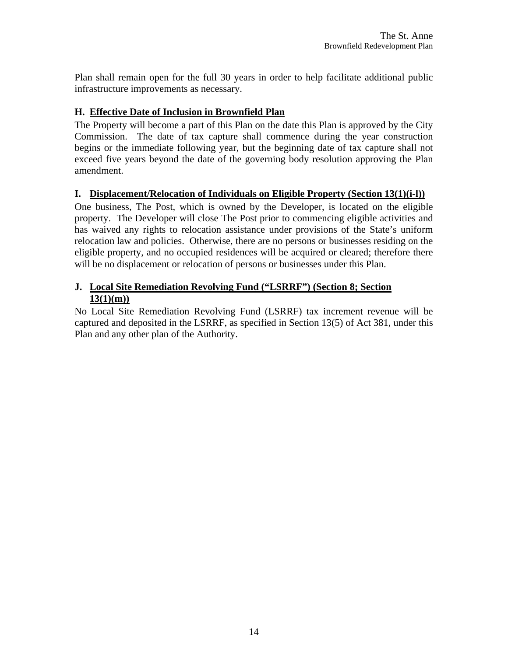<span id="page-13-0"></span>Plan shall remain open for the full 30 years in order to help facilitate additional public infrastructure improvements as necessary.

#### **H. Effective Date of Inclusion in Brownfield Plan**

The Property will become a part of this Plan on the date this Plan is approved by the City Commission. The date of tax capture shall commence during the year construction begins or the immediate following year, but the beginning date of tax capture shall not exceed five years beyond the date of the governing body resolution approving the Plan amendment.

#### **I. Displacement/Relocation of Individuals on Eligible Property (Section 13(1)(i-l))**

One business, The Post, which is owned by the Developer, is located on the eligible property. The Developer will close The Post prior to commencing eligible activities and has waived any rights to relocation assistance under provisions of the State's uniform relocation law and policies. Otherwise, there are no persons or businesses residing on the eligible property, and no occupied residences will be acquired or cleared; therefore there will be no displacement or relocation of persons or businesses under this Plan.

#### **J. Local Site Remediation Revolving Fund ("LSRRF") (Section 8; Section 13(1)(m))**

No Local Site Remediation Revolving Fund (LSRRF) tax increment revenue will be captured and deposited in the LSRRF, as specified in Section 13(5) of Act 381, under this Plan and any other plan of the Authority.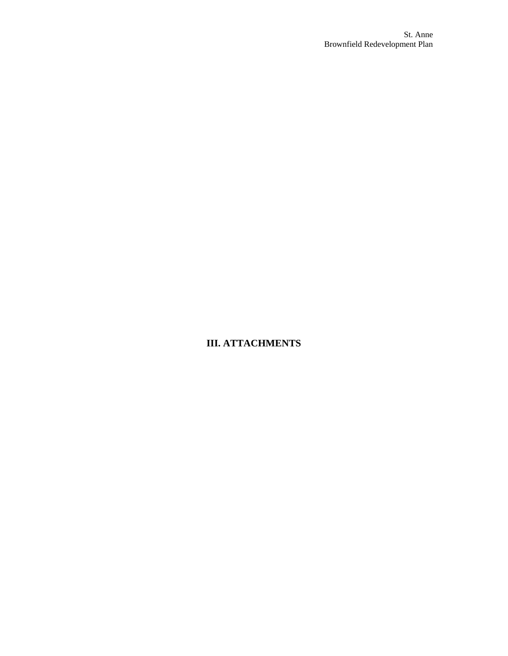**III. ATTACHMENTS**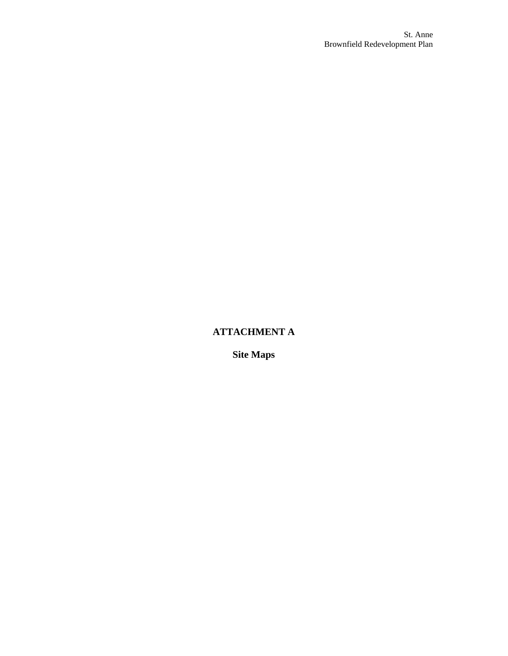## **ATTACHMENT A**

**Site Maps**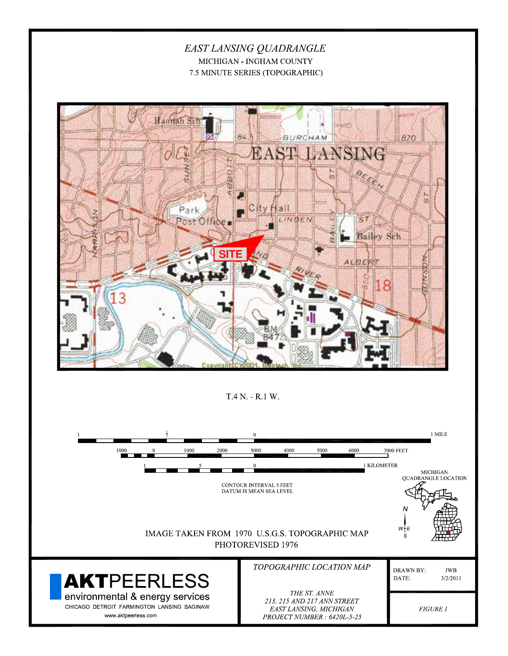#### EAST LANSING QUADRANGLE MICHIGAN - INGHAM COUNTY 7.5 MINUTE SERIES (TOPOGRAPHIC)



T.4 N. - R.1 W.

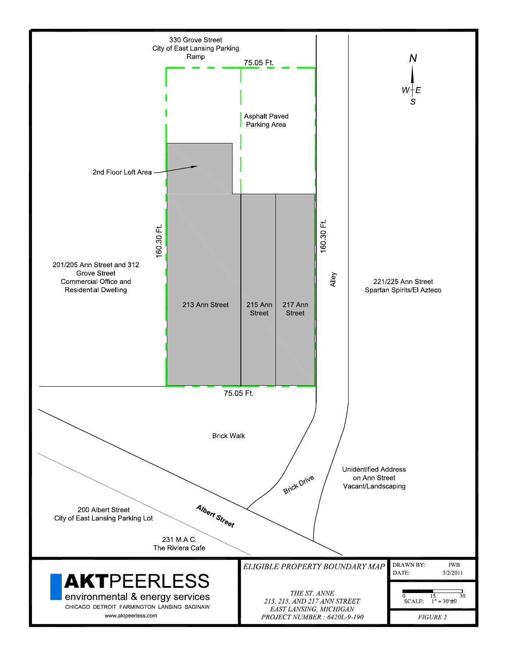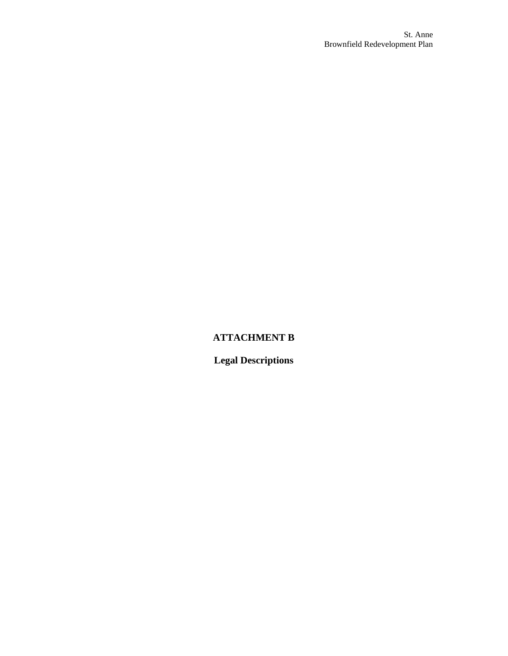### **ATTACHMENT B**

**Legal Descriptions**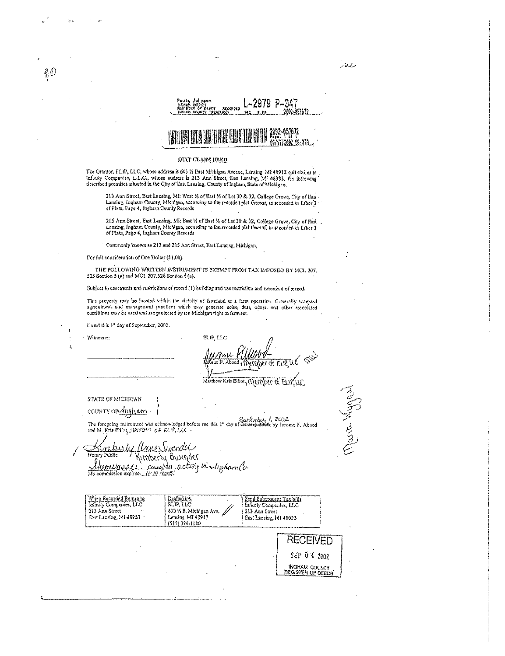Paula Johnson<br>Ingen County<br>Regilier of Deepa Recordes<br>Tulion Cou<u>nty Tapasper</u> 2979 P-347 200-351512  $102 -$ 

Maria Hygnal

# 2002-051372<br>08/17/2002-08:370

#### OUIT CLAIM DEED

The Grantor, ELIP, LLC, whose address is 603 % Bast Michigan Avenue, Lansing, MI 48912 quit claims to .<br>Infinity Companies, L.L.C., whose address is 213 Ann Street, East Lansing, MI 48933, the following.<br>described premises

213 Ann Street, East Lansing, MI: Wost 1/4 of Eest 1/4 of Let 30 & 32, College Grove, City of East Lansing, Ingham County, Michigan, according to the recorded plat thereof, as recorded in Liber 3 of Plats, Page 4, Ingham C

215 Ann Street, Bast Lansing, Mi: Bast 14 of East 14 of Lot 30 & 32, College Grove, City of Hast Lansing, Ingham County, Michigan, according to the recorded plat thereof, as recorded in Liber 3 of Plats, Page 4, Ingham Cou

Commonly known as 213 and 215 Ann Street, Bast Lansing, Michigan,

For full consideration of One Dollar (\$1.00).

 $\partial_{\hat{\eta}}\hat{\omega}$ 

THE FOLLOWING WRITTEN INSTRUMENT IS EXEMPT FROM TAX IMPOSED BY MCL 207. 505 Soction 5 (a) and MCL 207.526 Section 6 (a).

Subject to easements and restrictions of record (1) building and use restriction and easement of record.

This property may be located within the visinity of familand or a farm operation. Gonerally accepted agricultural and management practices which may generate noise, dust, odors, and other associated conditions may be used

Dated this 1\* day of September, 2002.

BLIP, LLC OF ELIP, UL R. Abond

Matthow Kris Elllot, Member of ELV

STATE OF MICHIGAN countron<u>-dighem</u>.

Witnesser:

The foregoing instrument was acknowledged before me this  $t^n$  day of  $\frac{\text{Sorkink}_{M}l}{\text{Sinkowski}}$ ,  $l$ ,  $Z$ OO $Z$  and M. Kris ElHo<sub>I</sub>,  $\frac{1}{2}$ ,  $\frac{1}{2}$ ,  $\frac{1}{2}$ ,  $\frac{1}{2}$ ,  $\frac{1}{2}$ ,  $\frac{1}{2}$ ,  $\frac{1}{2}$ ,  $\frac{1}{2}$ ,  $\frac{1$ 

Knaberly and Sunnelly<br>Notary Public Kimberly Systemeter<br>Shemmission expires: 11-10-2023:

| <u>When Recorded Return to</u><br>Infinity Companies, LLC<br>213 Ann Street<br>$\sim$<br>East Lansing, MI 48933 | Diafied by:<br>ELP, LLC<br>603 V.B. Michigan Ave<br>Lansing, MT 48917<br>(517)374.1100 | Send Subsequent Tax bills<br>Infinity Companies, LLC<br>213 Ann Street<br>Bast Lansing, Mf 48933 |
|-----------------------------------------------------------------------------------------------------------------|----------------------------------------------------------------------------------------|--------------------------------------------------------------------------------------------------|
|                                                                                                                 |                                                                                        | RECEIVED<br>SEP 04 2002<br>INGHAM COUNTY                                                         |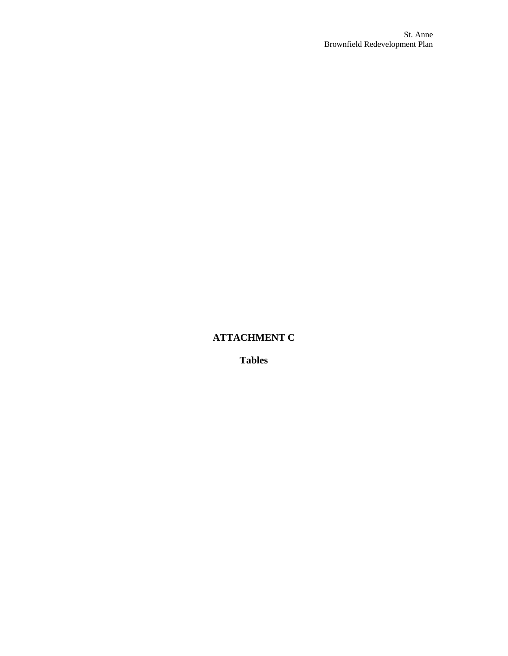#### **ATTACHMENT C**

**Tables**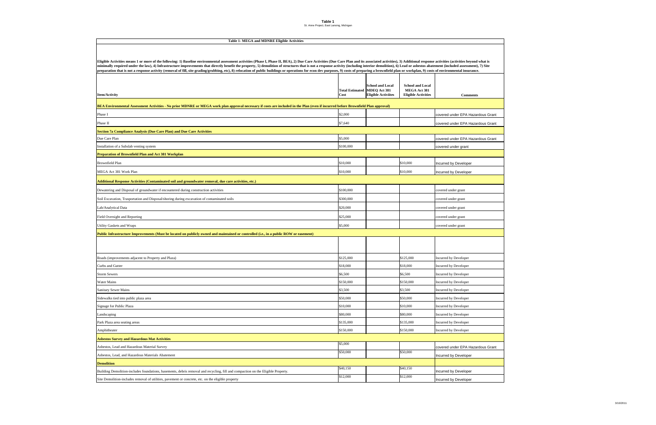**Table 1**St. Anne Project, East Lansing, Michigan



|                                                                                                                                                                                    | <b>Total Estimated</b> | <b>School and Local</b><br>MDEQ Act 381 | <b>School and Local</b><br>MEGA Act 381 |                                   |
|------------------------------------------------------------------------------------------------------------------------------------------------------------------------------------|------------------------|-----------------------------------------|-----------------------------------------|-----------------------------------|
| <b>Item/Activity</b>                                                                                                                                                               | Cost                   | <b>Eligible Activiites</b>              | <b>Eligible Activities</b>              | <b>Comments</b>                   |
| BEA Environmental Assessment Activities - No prior MDNRE or MEGA work plan approval necessary if costs are included in the Plan (even if incurred before Brownfield Plan approval) |                        |                                         |                                         |                                   |
| Phase I                                                                                                                                                                            | \$2,000                |                                         |                                         | covered under EPA Hazardous Grant |
| Phase II                                                                                                                                                                           | \$7,640                |                                         |                                         | covered under EPA Hazardous Grant |
| Section 7a Compliance Analysis (Due Care Plan) and Due Care Activities                                                                                                             |                        |                                         |                                         |                                   |
| Due Care Plan                                                                                                                                                                      | \$5,000                |                                         |                                         | covered under EPA Hazardous Grant |
| Installation of a Subslab venting system                                                                                                                                           | \$100,000              |                                         |                                         | covered under grant               |
| <b>Preparation of Brownfield Plan and Act 381 Workplan</b>                                                                                                                         |                        |                                         |                                         |                                   |
| <b>Brownfield Plan</b>                                                                                                                                                             | \$10,000               |                                         | \$10,000                                | Incurred by Developer             |
| MEGA Act 381 Work Plan                                                                                                                                                             | \$10,000               |                                         | \$10,000                                | Incurred by Developer             |
| Additional Response Activities (Contaminated soil and groundwater removal, due care activities, etc.)                                                                              |                        |                                         |                                         |                                   |
| Dewatering and Disposal of groundwater if encountered during construction activities                                                                                               | \$100,000              |                                         |                                         | covered under grant               |
| Soil Excavation, Trasportation and Disposal/shoring during excavation of contaminated soils                                                                                        | \$300,000              |                                         |                                         | covered under grant               |
| Lab/Analytical Data                                                                                                                                                                | \$20,000               |                                         |                                         | covered under grant               |
| Field Oversight and Reporting                                                                                                                                                      | \$25,000               |                                         |                                         | covered under grant               |
| <b>Utility Gaskets and Wraps</b>                                                                                                                                                   | \$5,000                |                                         |                                         | covered under grant               |
| Public Infrastructure Improvements (Must be located on publicly owned and maintained or controlled (i.e., in a public ROW or easement)                                             |                        |                                         |                                         |                                   |
|                                                                                                                                                                                    |                        |                                         |                                         |                                   |
|                                                                                                                                                                                    |                        |                                         |                                         |                                   |
| Roads (improvements adjacent to Property and Plaza)                                                                                                                                | \$125,000              |                                         | \$125,000                               | Incurred by Developer             |
| Curbs and Gutter                                                                                                                                                                   | \$18,000               |                                         | \$18,000                                | Incurred by Developer             |
| <b>Storm Sewers</b>                                                                                                                                                                | \$6,500                |                                         | \$6,500                                 | Incurred by Developer             |
| Water Mains                                                                                                                                                                        | \$150,000              |                                         | \$150,000                               | Incurred by Developer             |
| <b>Sanitary Sewer Mains</b>                                                                                                                                                        | \$3,500                |                                         | \$3,500                                 | Incurred by Developer             |
| Sidewalks tied into public plaza area                                                                                                                                              | \$50,000               |                                         | \$50,000                                | Incurred by Developer             |
| Signage for Public Plaza                                                                                                                                                           | \$10,000               |                                         | \$10,000                                | Incurred by Developer             |
| Landscaping                                                                                                                                                                        | \$80,000               |                                         | \$80,000                                | Incurred by Developer             |
| Park Plaza area seating areas                                                                                                                                                      | \$135,000              |                                         | \$135,000                               | Incurred by Developer             |
| Amphitheater                                                                                                                                                                       | \$150,000              |                                         | \$150,000                               | Incurred by Developer             |
| <b>Asbestos Survey and Hazardous Mat Activities</b>                                                                                                                                |                        |                                         |                                         |                                   |
| Asbestos, Lead and Hazardous Material Survey                                                                                                                                       | \$5,000                |                                         |                                         | covered under EPA Hazardous Grant |
| Asbestos, Lead, and Hazardous Materials Abatement                                                                                                                                  | \$50,000               |                                         | \$50,000                                | Incurred by Developer             |
| <b>Demolition</b>                                                                                                                                                                  |                        |                                         |                                         |                                   |
| Building Demolition-includes foundations, basements, debris removal and recycling, fill and compaction on the Eligible Property.                                                   | \$40,150               |                                         | \$40,150                                | Incurred by Developer             |
| Site Demolition-includes removal of utilities, pavement or concrete, etc. on the eligible property                                                                                 | \$12,000               |                                         | \$12,000                                | Incurred by Developer             |

#### **Table 1- MEGA and MDNRE Eligible Activities**

Eligible Activities means 1 or more of the following: 1) Baseline environmental assessment activities (Phase I, Phase II, BEA), 2) Due Care Activities (Due Care Plan and its associated activities), 3) Additional response a minimally required under the law), 4) Infrastructure improvements that directly benefit the property, 5) demolition of structures that is not a response activity (including interior demolition), 6) Lead or asbestos abateme preparation that is not a response activity (removal of fill, site grading/grubbing, etc), 8) relocation of public buildings or operations for econ dev purposes, 9) costs of preparing a brownfield plan or workplan, 9) cost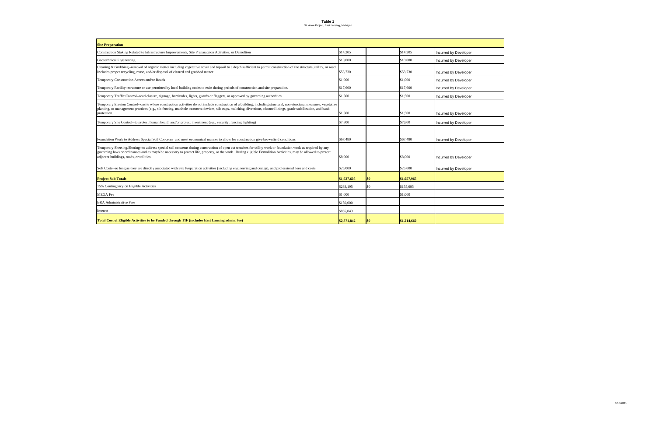**Table 1** St. Anne Project, East Lansing, Michigan

| <b>Site Preparation</b>                                                                                                                                                                                                                                                                                                                                                    |             |     |             |                       |
|----------------------------------------------------------------------------------------------------------------------------------------------------------------------------------------------------------------------------------------------------------------------------------------------------------------------------------------------------------------------------|-------------|-----|-------------|-----------------------|
| Construction Staking Related to Infrastructure Improvements, Site Preparataion Activities, or Demoltion                                                                                                                                                                                                                                                                    | \$14,205    |     | \$14,205    | Incurred by Developer |
| Geotechnical Engineering                                                                                                                                                                                                                                                                                                                                                   | \$10,000    |     | \$10,000    | Incurred by Developer |
| Clearing & Grubbing--removal of organic matter including vegetative cover and topsoil to a depth sufficient to permit construction of the structure, utility, or road.<br>Includes proper recycling, reuse, and/or disposal of cleared and grubbed matter                                                                                                                  | \$53,730    |     | \$53,730    | Incurred by Developer |
| Temporary Construction Access and/or Roads                                                                                                                                                                                                                                                                                                                                 | \$1,000     |     | \$1,000     | Incurred by Developer |
| Temporary Facility--structure or use permitted by local building codes to exist during periods of construction and site preparation.                                                                                                                                                                                                                                       | \$17,600    |     | \$17,600    | Incurred by Developer |
| Temporary Traffic Control--road closure, signage, barricades, lights, guards or flaggers, as approved by governing authorities.                                                                                                                                                                                                                                            | \$1,500     |     | \$1,500     | Incurred by Developer |
| Temporary Erosion Control--onsite where construction activities do not include construction of a building, including structural, non-sturctural measures, vegetative<br>planting, or management practices (e.g., silt fencing, manhole treatment devices, silt traps, mulching, diversions, channel linings, grade stabilization, and bank<br>protection.                  | \$1,500     |     | \$1,500     | Incurred by Developer |
| Temporary Site Control--to protect human health and/or project investment (e.g., security, fencing, lighting)                                                                                                                                                                                                                                                              | \$7,800     |     | \$7,800     | Incurred by Developer |
| Foundation Work to Address Special Soil Concerns and most economical manner to allow for construction give brownfield conditions                                                                                                                                                                                                                                           | \$67,480    |     | \$67,480    | Incurred by Developer |
| Temporary Sheeting/Shoring--to address special soil concerns during construction of open cut trenches for utility work or foundation work as required by any<br>governing laws or ordinances and as mayb be necessary to protect life, property, or the work. During eligible Demolition Activities, may be allowed to protect<br>adjacent buildings, roads, or utilities. | \$8,000     |     | \$8,000     | Incurred by Developer |
| Soft Costs-so long as they are directly associated with Site Preparation activities (including engineering and design), and professional fees and costs.                                                                                                                                                                                                                   | \$25,000    |     | \$25,000    | Incurred by Developer |
| <b>Project Sub Totals</b>                                                                                                                                                                                                                                                                                                                                                  | \$1,627,605 | \$0 | \$1,057,965 |                       |
| 15% Contingency on Eligible Activities                                                                                                                                                                                                                                                                                                                                     | \$238,195   | \$0 | \$155,695   |                       |
| <b>MEGA</b> Fee                                                                                                                                                                                                                                                                                                                                                            | \$1,000     |     | \$1,000     |                       |
| <b>BRA</b> Administrative Fees                                                                                                                                                                                                                                                                                                                                             | \$150,000   |     |             |                       |
| Interest                                                                                                                                                                                                                                                                                                                                                                   | \$855,043   |     |             |                       |
| Total Cost of Eligible Activities to be Funded through TIF (includes East Lansing admin. fee)                                                                                                                                                                                                                                                                              | \$2,871,842 | \$0 | \$1,214,660 |                       |

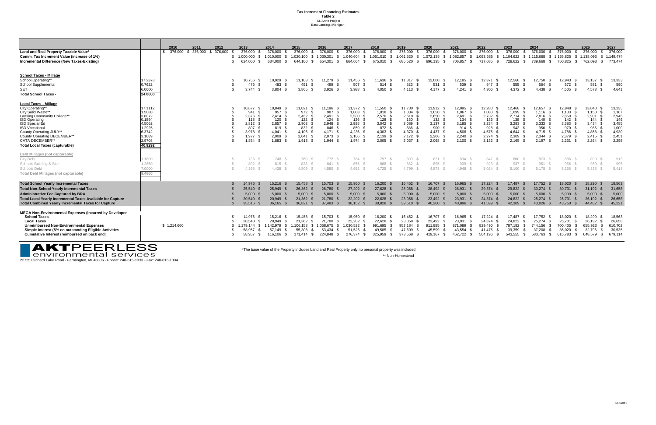**Tax Increment Financing Estimates Table 2** St. Anne Project East Lansing, Michigan

|                                                                                                                                                                                                                                                                                                              |                                                                                                    | 2010        | 2011       | 2012       | 2013                                                                                  | 2014                                                                     | 2015                                                                          | 2016                                                                                  | 2017                                                                                                           | 2018                                                                       | 2019                                                                                 | 2020                                                                                                         | 2021                                                                       | 2022                                                                                              | 2023                                                                            | 2024                                             |                                                                | 2025                                                                                    | 2026                                                                       | 2027                                                                         |
|--------------------------------------------------------------------------------------------------------------------------------------------------------------------------------------------------------------------------------------------------------------------------------------------------------------|----------------------------------------------------------------------------------------------------|-------------|------------|------------|---------------------------------------------------------------------------------------|--------------------------------------------------------------------------|-------------------------------------------------------------------------------|---------------------------------------------------------------------------------------|----------------------------------------------------------------------------------------------------------------|----------------------------------------------------------------------------|--------------------------------------------------------------------------------------|--------------------------------------------------------------------------------------------------------------|----------------------------------------------------------------------------|---------------------------------------------------------------------------------------------------|---------------------------------------------------------------------------------|--------------------------------------------------|----------------------------------------------------------------|-----------------------------------------------------------------------------------------|----------------------------------------------------------------------------|------------------------------------------------------------------------------|
| Land and Real Property Taxable Value*<br>Comm. Tax Increment Value (increase of 1%)<br>Incremental Difference (New Taxes-Existing)                                                                                                                                                                           |                                                                                                    | \$ 376,000  | \$ 376,000 | \$ 376,000 | 376.000<br>1,000,000<br>624,000                                                       | 376.000<br>1.010.000<br>634,000<br>- S                                   | 376.000<br>1.020.100<br>644.100                                               | 376.000<br>1.030.301<br>-S<br>654.301<br>- SS                                         | 376.000<br>1.040.604<br>664.604 \$<br>- \$                                                                     | 376.000<br>1.051.010<br>675.010                                            | 376.000<br>1.061.520<br>- \$<br>685,520<br>- \$                                      | 376.000<br>- \$<br>1,072,135 \$<br>696,135 \$                                                                | 376.000<br>1.082.857<br>706,857<br>- \$                                    | 376,000<br>- \$<br>1.093.685<br>- \$<br>717,685 \$                                                | 376.000<br>1.104.622<br>728,622                                                 | 376.000<br>\$1.115.668<br>739,668<br>- S         | - S<br>- \$<br><b>S</b>                                        | 376.000<br>- \$<br>1.126.825<br>- \$<br>750,825<br>- SI                                 | 376.000<br>- SS<br>1,138,093<br>762,093                                    | 376,000<br>1,149,474<br>\$773.474                                            |
| <b>School Taxes - Millage</b><br>School Operating**<br>School Supplemental<br><b>SET</b><br>Total School Taxes                                                                                                                                                                                               | 17.2378<br>0.7622<br>6.0000<br>24.0000                                                             |             |            |            | 10.756<br>476<br>3.744                                                                | 10.929<br>483<br>3.804                                                   | 11.103<br>491<br>3.865                                                        | 11,279 \$<br>499<br>3.926                                                             | 11,456 \$<br>507 \$<br>$3.988$ \$                                                                              | 11.636<br>514<br>4.050                                                     | 11.817<br>523<br>$4.113$ \$                                                          | 12,000<br>- \$<br>531<br>- \$<br>4.177<br>- \$                                                               | 12,185<br>539<br>4.241                                                     | 12,371<br>547<br>4.306                                                                            | 12,560<br>555<br>4.372 \$                                                       | 12.750<br>- \$<br>4.438                          | 564                                                            | 12.943<br>572<br>4.505 \$                                                               | 13.137<br>581<br>4.573                                                     | 13,333<br>590<br>4,641                                                       |
| <b>Local Taxes - Millage</b><br>City Operating**<br>City Solid Waste**<br>Lansing Community College**<br><b>ISD Operating</b><br>ISD Special Ed<br><b>ISD Vocational</b><br>County Operating JULY**<br><b>County Operating DECEMBER**</b><br><b>CATA DECEMBER**</b><br><b>Total Local Taxes (capturable)</b> | 17.1112<br>1.5088<br>3.8072<br>0.1894<br>4.5062<br>1.2925<br>6.3742<br>3.1689<br>2.9708<br>40.9292 |             |            |            | 10,677<br>941<br>2.376<br>118<br>2.812 <sup>5</sup><br>807<br>3.978<br>1.977<br>1,854 | 10,849<br>957<br>2.414<br>120<br>2.857<br>819<br>4.041<br>2.009<br>1,883 | 11,021<br>972<br>2.452<br>122<br>2,902<br>832<br>4.106<br>2,041<br>$1.913$ \$ | 11,196<br>987<br>2.491<br>124<br>2,948<br>846<br>4.171 \$<br>$2,073$ \$<br>$1,944$ \$ | 11.372 \$<br>-9<br>1.003<br>-96<br>2,530<br>126<br>$2,995$ \$<br>859<br>$4,236$ \$<br>$2,106$ \$<br>$1.974$ \$ | 11,550<br>1.018<br>2.570<br>128<br>3,042<br>872<br>4,303<br>2,139<br>2.005 | 11,730<br>1,034<br>$2.610$ \$<br>130<br>3,089<br>886<br>4,370<br>$2,172$ \$<br>2,037 | 11,912 \$<br>$1,050$ \$<br>$2.650$ \$<br>132<br>$3,137$ \$<br>900 \$<br>4.437 \$<br>$2,206$ \$<br>$2,068$ \$ | 12,095<br>1,067<br>2,691<br>134<br>3,185<br>914<br>4.506<br>2,240<br>2.100 | 12,280<br>1,083<br>$2.732$ \$<br>136<br>$3,234$ \$<br>928<br>4,575 \$<br>$2,274$ \$<br>$2,132$ \$ | 12,468<br>1,099<br>$2.774$ \$<br>138<br>3,283<br>942<br>4.644<br>2,309<br>2,165 | 12,657<br>1.116<br>- 3<br>2.197<br>-\$           | 2,816 \$<br>140<br>$3,333$ \$<br>956<br>4.715 \$<br>$2,344$ \$ | 12,848<br>1,133<br>2,859<br>142<br>$3,383$ \$<br>970<br>4.786<br>2,379 \$<br>$2,231$ \$ | 13,040<br>1,150<br>2,901<br>144<br>3.434<br>985<br>4,858<br>2,415<br>2,264 | 13,235<br>1,167<br>2,945<br>146<br>3,485<br>1,000<br>4,930<br>2,451<br>2,298 |
| Debt Millages (not capturable)<br>City Debt<br>Schools Building & Site<br><b>Schools Debt</b><br>Total Debt Millages (not capturable)                                                                                                                                                                        | .1800<br>1.2860<br>7.0000<br>1,4660                                                                |             |            |            | 736<br>802<br>4.368                                                                   | 748 \$<br>815 \$<br>4.438                                                | 760<br>828<br>4.509                                                           | 772<br>841<br>4,580                                                                   | 784 \$<br>855 \$<br>$4.652$ \$                                                                                 | 797<br>868<br>4.725                                                        | 809<br>882<br>4.799                                                                  | 821<br>895 \$<br>$4.873$ \$                                                                                  | 834<br>909<br>4.948                                                        | 847 \$<br>$923$ \$<br>$5,024$ \$                                                                  | 860<br>937<br>5,100                                                             |                                                  | 873 \$<br>951<br>$5.178$ \$                                    | 886<br>966 9<br>5.256                                                                   | 899<br>980<br>5.335                                                        | 913<br>995<br>5.414                                                          |
| <b>Total School Yearly Incremental Taxes</b><br><b>Total Non-School Yearly Incremental Taxes</b><br><b>Administrative Fee Captured by BRA</b><br><b>Total Local Yearly Incremental Taxes Available for Capture</b><br><b>Total Combined Yearly Incremental Taxes for Capture</b>                             |                                                                                                    |             |            |            | 14.976<br>25,540<br>5.000<br>20,540<br>35.516                                         | 15,216<br>25,949<br>5,000<br>20.949<br>36,165                            | 15,458<br>26,362<br>5,000<br>21.362<br>36.821 \$                              | 15,703<br>26,780<br>5,000<br>21,780<br>37.483                                         | 15,950 \$<br>$27,202$ \$<br>$5.000$ \$<br>22,202<br>38.152 \$                                                  | 16,200<br>27,628<br>5,000<br>22.628<br>38.828                              | 16,452 \$<br>28,058<br>5,000<br>23,058<br>39.510 \$                                  | 16,707 \$<br>28,492 \$<br>$5,000$ \$<br>23,492 \$<br>40.200                                                  | 16,965<br>28,931<br>5,000<br>23.931<br>40.896                              | 17,224 \$<br>29,374 \$<br>$5,000$ \$<br>24,374 \$<br>41,599 \$                                    | 17,487<br>29,822<br>5,000<br>24,822<br>42.309                                   | 5,000<br>25,274<br>43.026                        | 17,752 \$<br>$30,274$ \$                                       | 18,020<br>30,731 \$<br>$5,000$ \$<br>25,731<br>43.750 \$                                | 18,290<br>31,192<br>5,000<br>26.192<br>44.482                              | 18,563<br>31,658<br>5.000<br>26,658<br>45,221                                |
| MEGA Non-Environmental Expenses (incurred by Developer)<br><b>School Taxes</b><br><b>Local Taxes</b><br><b>Unreimbursed Non-Environmental Expenses</b><br>Simple Interest (5% on outstanding Eligible Activities<br>Cumulative Interest (reimbursed on back end)                                             |                                                                                                    | \$1,214,660 |            |            | 14.976<br>20.540<br>1.179.144<br>58.957<br>58.957                                     | 15.216<br>20.949<br>1,142,979<br>57.149<br>116,106                       | 15.458<br>21.362<br>1,106,158<br>55.308<br>171.414 \$                         | 15.703<br>21.780<br>1,068,675<br>53.434<br>224,848                                    | 15.950 \$<br>. ጽ<br>22,202<br>\$<br>1,030,522<br>51.526<br>-9<br>276,374 \$<br>- S                             | 16.200<br>22,628<br>991,695<br>49.585<br>325,959                           | 16.452<br>23,058<br>952,184<br>47.609<br>373,568                                     | 16.707<br>23.492<br>911,985<br>45.599<br>419.167<br>- 86                                                     | 16.965<br>23,931<br>871,089<br>43,554<br>462,722                           | 17,224<br>24.374 \$<br>829,490<br>41.475<br>504,196 \$                                            | 17.487<br>24.822<br>787,182<br>39.359<br>543,555                                | 17.752<br>25.274<br>744,156<br>37.208<br>580,763 | - \$                                                           | 18.020<br>25,731<br>700,405<br>35,020<br>615,783<br>- 96                                | 18.290<br>26.192<br>655,923<br>32.796<br>648.579<br>- SS                   | 18,563<br>26,658<br>610,702<br>30,535<br>679.114                             |

**EXTPEERLESS**<br>22725 Orchard Lake Road - Farmington, MI 48336 - Phone: 248-615-1333 - Fax: 248-615-1334

\*The base value of the Property includes Land and Real Property only no personal property was included \*\* Non-Homestead